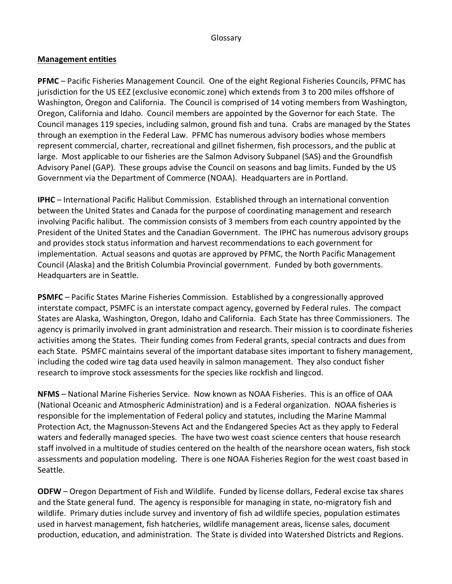### Glossary

### **Management entities**

**PFMC** – Pacific Fisheries Management Council. One of the eight Regional Fisheries Councils, PFMC has jurisdiction for the US EEZ (exclusive economic zone) which extends from 3 to 200 miles offshore of Washington, Oregon and California. The Council is comprised of 14 voting members from Washington, Oregon, California and Idaho. Council members are appointed by the Governor for each State. The Council manages 119 species, including salmon, ground fish and tuna. Crabs are managed by the States through an exemption in the Federal Law. PFMC has numerous advisory bodies whose members represent commercial, charter, recreational and gillnet fishermen, fish processors, and the public at large. Most applicable to our fisheries are the Salmon Advisory Subpanel (SAS) and the Groundfish Advisory Panel (GAP). These groups advise the Council on seasons and bag limits. Funded by the US Government via the Department of Commerce (NOAA). Headquarters are in Portland.

**IPHC** – International Pacific Halibut Commission. Established through an international convention between the United States and Canada for the purpose of coordinating management and research involving Pacific halibut. The commission consists of 3 members from each country appointed by the President of the United States and the Canadian Government. The IPHC has numerous advisory groups and provides stock status information and harvest recommendations to each government for implementation. Actual seasons and quotas are approved by PFMC, the North Pacific Management Council (Alaska) and the British Columbia Provincial government. Funded by both governments. Headquarters are in Seattle.

**PSMFC** – Pacific States Marine Fisheries Commission. Established by a congressionally approved interstate compact, PSMFC is an interstate compact agency, governed by Federal rules. The compact States are Alaska, Washington, Oregon, Idaho and California. Each State has three Commissioners. The agency is primarily involved in grant administration and research. Their mission is to coordinate fisheries activities among the States. Their funding comes from Federal grants, special contracts and dues from each State. PSMFC maintains several of the important database sites important to fishery management, including the coded wire tag data used heavily in salmon management. They also conduct fisher research to improve stock assessments for the species like rockfish and lingcod.

**NFMS** – National Marine Fisheries Service. Now known as NOAA Fisheries. This is an office of OAA (National Oceanic and Atmospheric Administration) and is a Federal organization. NOAA fisheries is responsible for the implementation of Federal policy and statutes, including the Marine Mammal Protection Act, the Magnusson-Stevens Act and the Endangered Species Act as they apply to Federal waters and federally managed species. The have two west coast science centers that house research staff involved in a multitude of studies centered on the health of the nearshore ocean waters, fish stock assessments and population modeling. There is one NOAA Fisheries Region for the west coast based in Seattle.

**ODFW** – Oregon Department of Fish and Wildlife. Funded by license dollars, Federal excise tax shares and the State general fund. The agency is responsible for managing in state, no-migratory fish and wildlife. Primary duties include survey and inventory of fish ad wildlife species, population estimates used in harvest management, fish hatcheries, wildlife management areas, license sales, document production, education, and administration. The State is divided into Watershed Districts and Regions.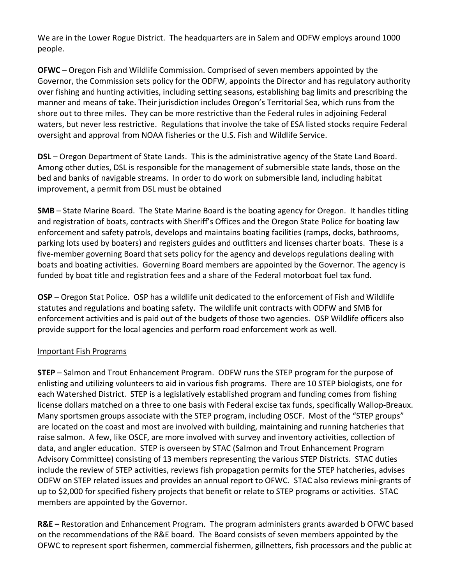We are in the Lower Rogue District. The headquarters are in Salem and ODFW employs around 1000 people.

**OFWC** – Oregon Fish and Wildlife Commission. Comprised of seven members appointed by the Governor, the Commission sets policy for the ODFW, appoints the Director and has regulatory authority over fishing and hunting activities, including setting seasons, establishing bag limits and prescribing the manner and means of take. Their jurisdiction includes Oregon's Territorial Sea, which runs from the shore out to three miles. They can be more restrictive than the Federal rules in adjoining Federal waters, but never less restrictive. Regulations that involve the take of ESA listed stocks require Federal oversight and approval from NOAA fisheries or the U.S. Fish and Wildlife Service.

**DSL** – Oregon Department of State Lands. This is the administrative agency of the State Land Board. Among other duties, DSL is responsible for the management of submersible state lands, those on the bed and banks of navigable streams. In order to do work on submersible land, including habitat improvement, a permit from DSL must be obtained

**SMB** – State Marine Board. The State Marine Board is the boating agency for Oregon. It handles titling and registration of boats, contracts with Sheriff's Offices and the Oregon State Police for boating law enforcement and safety patrols, develops and maintains boating facilities (ramps, docks, bathrooms, parking lots used by boaters) and registers guides and outfitters and licenses charter boats. These is a five-member governing Board that sets policy for the agency and develops regulations dealing with boats and boating activities. Governing Board members are appointed by the Governor. The agency is funded by boat title and registration fees and a share of the Federal motorboat fuel tax fund.

**OSP** – Oregon Stat Police. OSP has a wildlife unit dedicated to the enforcement of Fish and Wildlife statutes and regulations and boating safety. The wildlife unit contracts with ODFW and SMB for enforcement activities and is paid out of the budgets of those two agencies. OSP Wildlife officers also provide support for the local agencies and perform road enforcement work as well.

# Important Fish Programs

**STEP** – Salmon and Trout Enhancement Program. ODFW runs the STEP program for the purpose of enlisting and utilizing volunteers to aid in various fish programs. There are 10 STEP biologists, one for each Watershed District. STEP is a legislatively established program and funding comes from fishing license dollars matched on a three to one basis with Federal excise tax funds, specifically Wallop-Breaux. Many sportsmen groups associate with the STEP program, including OSCF. Most of the "STEP groups" are located on the coast and most are involved with building, maintaining and running hatcheries that raise salmon. A few, like OSCF, are more involved with survey and inventory activities, collection of data, and angler education. STEP is overseen by STAC (Salmon and Trout Enhancement Program Advisory Committee) consisting of 13 members representing the various STEP Districts. STAC duties include the review of STEP activities, reviews fish propagation permits for the STEP hatcheries, advises ODFW on STEP related issues and provides an annual report to OFWC. STAC also reviews mini-grants of up to \$2,000 for specified fishery projects that benefit or relate to STEP programs or activities. STAC members are appointed by the Governor.

**R&E –** Restoration and Enhancement Program. The program administers grants awarded b OFWC based on the recommendations of the R&E board. The Board consists of seven members appointed by the OFWC to represent sport fishermen, commercial fishermen, gillnetters, fish processors and the public at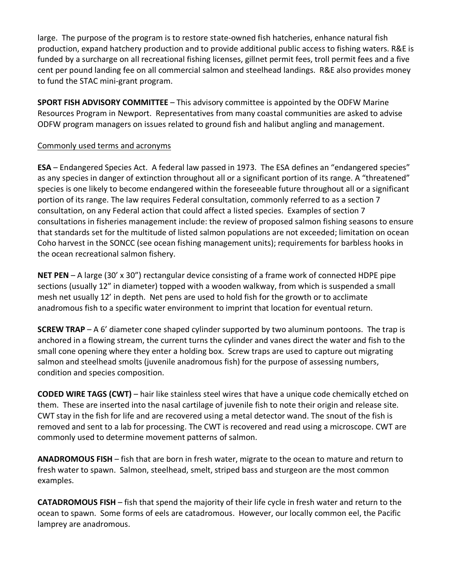large. The purpose of the program is to restore state-owned fish hatcheries, enhance natural fish production, expand hatchery production and to provide additional public access to fishing waters. R&E is funded by a surcharge on all recreational fishing licenses, gillnet permit fees, troll permit fees and a five cent per pound landing fee on all commercial salmon and steelhead landings. R&E also provides money to fund the STAC mini-grant program.

**SPORT FISH ADVISORY COMMITTEE** – This advisory committee is appointed by the ODFW Marine Resources Program in Newport. Representatives from many coastal communities are asked to advise ODFW program managers on issues related to ground fish and halibut angling and management.

# Commonly used terms and acronyms

**ESA** – Endangered Species Act. A federal law passed in 1973. The ESA defines an "endangered species" as any species in danger of extinction throughout all or a significant portion of its range. A "threatened" species is one likely to become endangered within the foreseeable future throughout all or a significant portion of its range. The law requires Federal consultation, commonly referred to as a section 7 consultation, on any Federal action that could affect a listed species. Examples of section 7 consultations in fisheries management include: the review of proposed salmon fishing seasons to ensure that standards set for the multitude of listed salmon populations are not exceeded; limitation on ocean Coho harvest in the SONCC (see ocean fishing management units); requirements for barbless hooks in the ocean recreational salmon fishery.

**NET PEN** – A large (30' x 30") rectangular device consisting of a frame work of connected HDPE pipe sections (usually 12" in diameter) topped with a wooden walkway, from which is suspended a small mesh net usually 12' in depth. Net pens are used to hold fish for the growth or to acclimate anadromous fish to a specific water environment to imprint that location for eventual return.

**SCREW TRAP** – A 6' diameter cone shaped cylinder supported by two aluminum pontoons. The trap is anchored in a flowing stream, the current turns the cylinder and vanes direct the water and fish to the small cone opening where they enter a holding box. Screw traps are used to capture out migrating salmon and steelhead smolts (juvenile anadromous fish) for the purpose of assessing numbers, condition and species composition.

**CODED WIRE TAGS (CWT)** – hair like stainless steel wires that have a unique code chemically etched on them. These are inserted into the nasal cartilage of juvenile fish to note their origin and release site. CWT stay in the fish for life and are recovered using a metal detector wand. The snout of the fish is removed and sent to a lab for processing. The CWT is recovered and read using a microscope. CWT are commonly used to determine movement patterns of salmon.

**ANADROMOUS FISH** – fish that are born in fresh water, migrate to the ocean to mature and return to fresh water to spawn. Salmon, steelhead, smelt, striped bass and sturgeon are the most common examples.

**CATADROMOUS FISH** – fish that spend the majority of their life cycle in fresh water and return to the ocean to spawn. Some forms of eels are catadromous. However, our locally common eel, the Pacific lamprey are anadromous.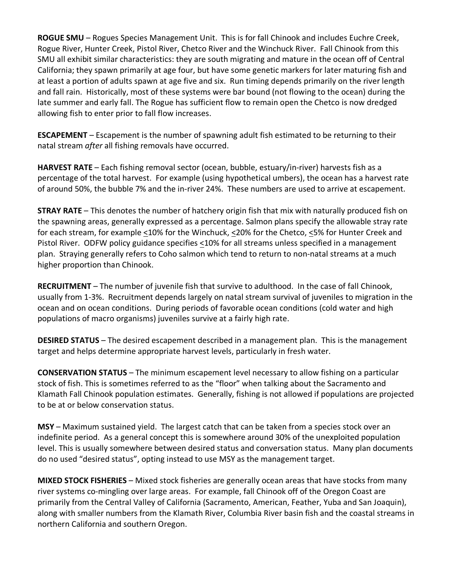**ROGUE SMU** – Rogues Species Management Unit. This is for fall Chinook and includes Euchre Creek, Rogue River, Hunter Creek, Pistol River, Chetco River and the Winchuck River. Fall Chinook from this SMU all exhibit similar characteristics: they are south migrating and mature in the ocean off of Central California; they spawn primarily at age four, but have some genetic markers for later maturing fish and at least a portion of adults spawn at age five and six. Run timing depends primarily on the river length and fall rain. Historically, most of these systems were bar bound (not flowing to the ocean) during the late summer and early fall. The Rogue has sufficient flow to remain open the Chetco is now dredged allowing fish to enter prior to fall flow increases.

**ESCAPEMENT** – Escapement is the number of spawning adult fish estimated to be returning to their natal stream *after* all fishing removals have occurred.

**HARVEST RATE** – Each fishing removal sector (ocean, bubble, estuary/in-river) harvests fish as a percentage of the total harvest. For example (using hypothetical umbers), the ocean has a harvest rate of around 50%, the bubble 7% and the in-river 24%. These numbers are used to arrive at escapement.

**STRAY RATE** – This denotes the number of hatchery origin fish that mix with naturally produced fish on the spawning areas, generally expressed as a percentage. Salmon plans specify the allowable stray rate for each stream, for example <10% for the Winchuck, <20% for the Chetco, <5% for Hunter Creek and Pistol River. ODFW policy guidance specifies <10% for all streams unless specified in a management plan. Straying generally refers to Coho salmon which tend to return to non-natal streams at a much higher proportion than Chinook.

**RECRUITMENT** – The number of juvenile fish that survive to adulthood. In the case of fall Chinook, usually from 1-3%. Recruitment depends largely on natal stream survival of juveniles to migration in the ocean and on ocean conditions. During periods of favorable ocean conditions (cold water and high populations of macro organisms) juveniles survive at a fairly high rate.

**DESIRED STATUS** – The desired escapement described in a management plan. This is the management target and helps determine appropriate harvest levels, particularly in fresh water.

**CONSERVATION STATUS** – The minimum escapement level necessary to allow fishing on a particular stock of fish. This is sometimes referred to as the "floor" when talking about the Sacramento and Klamath Fall Chinook population estimates. Generally, fishing is not allowed if populations are projected to be at or below conservation status.

**MSY** – Maximum sustained yield. The largest catch that can be taken from a species stock over an indefinite period. As a general concept this is somewhere around 30% of the unexploited population level. This is usually somewhere between desired status and conversation status. Many plan documents do no used "desired status", opting instead to use MSY as the management target.

**MIXED STOCK FISHERIES** – Mixed stock fisheries are generally ocean areas that have stocks from many river systems co-mingling over large areas. For example, fall Chinook off of the Oregon Coast are primarily from the Central Valley of California (Sacramento, American, Feather, Yuba and San Joaquin), along with smaller numbers from the Klamath River, Columbia River basin fish and the coastal streams in northern California and southern Oregon.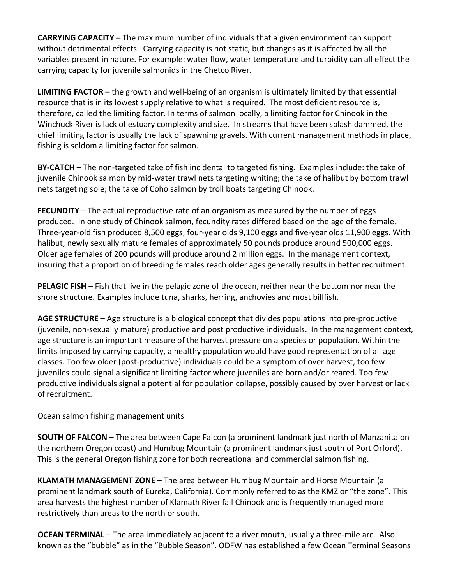**CARRYING CAPACITY** – The maximum number of individuals that a given environment can support without detrimental effects. Carrying capacity is not static, but changes as it is affected by all the variables present in nature. For example: water flow, water temperature and turbidity can all effect the carrying capacity for juvenile salmonids in the Chetco River.

**LIMITING FACTOR** – the growth and well-being of an organism is ultimately limited by that essential resource that is in its lowest supply relative to what is required. The most deficient resource is, therefore, called the limiting factor. In terms of salmon locally, a limiting factor for Chinook in the Winchuck River is lack of estuary complexity and size. In streams that have been splash dammed, the chief limiting factor is usually the lack of spawning gravels. With current management methods in place, fishing is seldom a limiting factor for salmon.

**BY-CATCH** – The non-targeted take of fish incidental to targeted fishing. Examples include: the take of juvenile Chinook salmon by mid-water trawl nets targeting whiting; the take of halibut by bottom trawl nets targeting sole; the take of Coho salmon by troll boats targeting Chinook.

**FECUNDITY** – The actual reproductive rate of an organism as measured by the number of eggs produced. In one study of Chinook salmon, fecundity rates differed based on the age of the female. Three-year-old fish produced 8,500 eggs, four-year olds 9,100 eggs and five-year olds 11,900 eggs. With halibut, newly sexually mature females of approximately 50 pounds produce around 500,000 eggs. Older age females of 200 pounds will produce around 2 million eggs. In the management context, insuring that a proportion of breeding females reach older ages generally results in better recruitment.

**PELAGIC FISH** – Fish that live in the pelagic zone of the ocean, neither near the bottom nor near the shore structure. Examples include tuna, sharks, herring, anchovies and most billfish.

**AGE STRUCTURE** – Age structure is a biological concept that divides populations into pre-productive (juvenile, non-sexually mature) productive and post productive individuals. In the management context, age structure is an important measure of the harvest pressure on a species or population. Within the limits imposed by carrying capacity, a healthy population would have good representation of all age classes. Too few older (post-productive) individuals could be a symptom of over harvest, too few juveniles could signal a significant limiting factor where juveniles are born and/or reared. Too few productive individuals signal a potential for population collapse, possibly caused by over harvest or lack of recruitment.

# Ocean salmon fishing management units

**SOUTH OF FALCON** – The area between Cape Falcon (a prominent landmark just north of Manzanita on the northern Oregon coast) and Humbug Mountain (a prominent landmark just south of Port Orford). This is the general Oregon fishing zone for both recreational and commercial salmon fishing.

**KLAMATH MANAGEMENT ZONE** – The area between Humbug Mountain and Horse Mountain (a prominent landmark south of Eureka, California). Commonly referred to as the KMZ or "the zone". This area harvests the highest number of Klamath River fall Chinook and is frequently managed more restrictively than areas to the north or south.

**OCEAN TERMINAL** – The area immediately adjacent to a river mouth, usually a three-mile arc. Also known as the "bubble" as in the "Bubble Season". ODFW has established a few Ocean Terminal Seasons